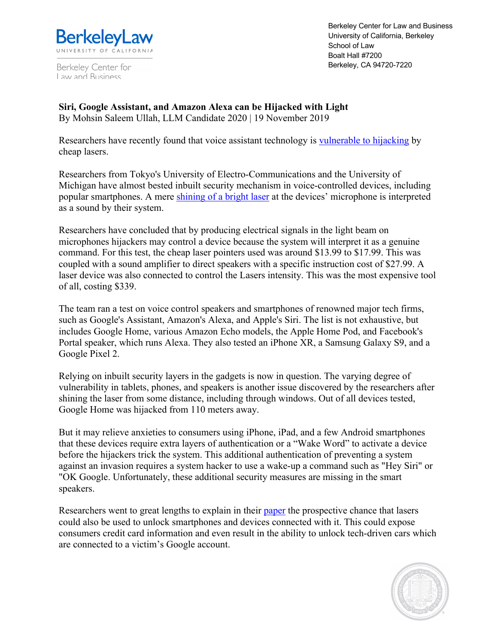

Berkeley Center for Law and Business

Berkeley Center for Law and Business University of California, Berkeley School of Law Boalt Hall #7200 Berkeley, CA 94720-7220

**Siri, Google Assistant, and Amazon Alexa can be Hijacked with Light**  By Mohsin Saleem Ullah, LLM Candidate 2020 | 19 November 2019

Researchers have recently found that voice assistant technology is vulnerable to hijacking by cheap lasers.

Researchers from Tokyo's University of Electro-Communications and the University of Michigan have almost bested inbuilt security mechanism in voice-controlled devices, including popular smartphones. A mere shining of a bright laser at the devices' microphone is interpreted as a sound by their system.

Researchers have concluded that by producing electrical signals in the light beam on microphones hijackers may control a device because the system will interpret it as a genuine command. For this test, the cheap laser pointers used was around \$13.99 to \$17.99. This was coupled with a sound amplifier to direct speakers with a specific instruction cost of \$27.99. A laser device was also connected to control the Lasers intensity. This was the most expensive tool of all, costing \$339.

The team ran a test on voice control speakers and smartphones of renowned major tech firms, such as Google's Assistant, Amazon's Alexa, and Apple's Siri. The list is not exhaustive, but includes Google Home, various Amazon Echo models, the Apple Home Pod, and Facebook's Portal speaker, which runs Alexa. They also tested an iPhone XR, a Samsung Galaxy S9, and a Google Pixel 2.

Relying on inbuilt security layers in the gadgets is now in question. The varying degree of vulnerability in tablets, phones, and speakers is another issue discovered by the researchers after shining the laser from some distance, including through windows. Out of all devices tested, Google Home was hijacked from 110 meters away.

But it may relieve anxieties to consumers using iPhone, iPad, and a few Android smartphones that these devices require extra layers of authentication or a "Wake Word" to activate a device before the hijackers trick the system. This additional authentication of preventing a system against an invasion requires a system hacker to use a wake-up a command such as "Hey Siri" or "OK Google. Unfortunately, these additional security measures are missing in the smart speakers.

Researchers went to great lengths to explain in their paper the prospective chance that lasers could also be used to unlock smartphones and devices connected with it. This could expose consumers credit card information and even result in the ability to unlock tech-driven cars which are connected to a victim's Google account.